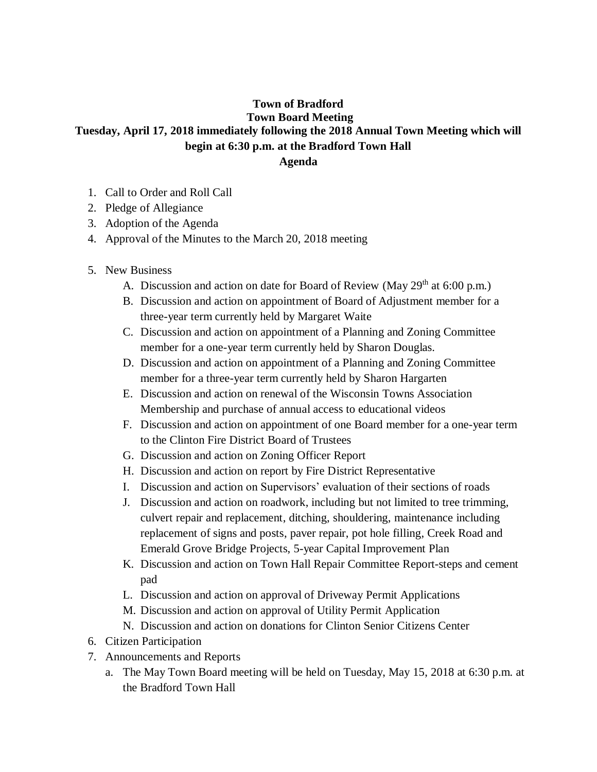## **Town of Bradford Town Board Meeting Tuesday, April 17, 2018 immediately following the 2018 Annual Town Meeting which will begin at 6:30 p.m. at the Bradford Town Hall Agenda**

- 1. Call to Order and Roll Call
- 2. Pledge of Allegiance
- 3. Adoption of the Agenda
- 4. Approval of the Minutes to the March 20, 2018 meeting
- 5. New Business
	- A. Discussion and action on date for Board of Review (May  $29<sup>th</sup>$  at 6:00 p.m.)
	- B. Discussion and action on appointment of Board of Adjustment member for a three-year term currently held by Margaret Waite
	- C. Discussion and action on appointment of a Planning and Zoning Committee member for a one-year term currently held by Sharon Douglas.
	- D. Discussion and action on appointment of a Planning and Zoning Committee member for a three-year term currently held by Sharon Hargarten
	- E. Discussion and action on renewal of the Wisconsin Towns Association Membership and purchase of annual access to educational videos
	- F. Discussion and action on appointment of one Board member for a one-year term to the Clinton Fire District Board of Trustees
	- G. Discussion and action on Zoning Officer Report
	- H. Discussion and action on report by Fire District Representative
	- I. Discussion and action on Supervisors' evaluation of their sections of roads
	- J. Discussion and action on roadwork, including but not limited to tree trimming, culvert repair and replacement, ditching, shouldering, maintenance including replacement of signs and posts, paver repair, pot hole filling, Creek Road and Emerald Grove Bridge Projects, 5-year Capital Improvement Plan
	- K. Discussion and action on Town Hall Repair Committee Report-steps and cement pad
	- L. Discussion and action on approval of Driveway Permit Applications
	- M. Discussion and action on approval of Utility Permit Application
	- N. Discussion and action on donations for Clinton Senior Citizens Center
- 6. Citizen Participation
- 7. Announcements and Reports
	- a. The May Town Board meeting will be held on Tuesday, May 15, 2018 at 6:30 p.m. at the Bradford Town Hall